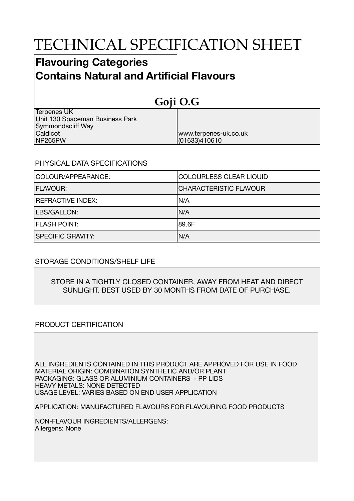# TECHNICAL SPECIFICATION SHEET

## **Flavouring Categories Contains Natural and Artificial Flavours**

| Goji O.G                        |                       |  |
|---------------------------------|-----------------------|--|
| <b>Terpenes UK</b>              |                       |  |
| Unit 130 Spaceman Business Park |                       |  |
| Symmondscliff Way               |                       |  |
| Caldicot                        | www.terpenes-uk.co.uk |  |
| NP265PW                         | (01633)410610         |  |

### PHYSICAL DATA SPECIFICATIONS

| COLOUR/APPEARANCE:       | <b>COLOURLESS CLEAR LIQUID</b> |
|--------------------------|--------------------------------|
| <b>FLAVOUR:</b>          | <b>CHARACTERISTIC FLAVOUR</b>  |
| <b>REFRACTIVE INDEX:</b> | IN/A                           |
| LBS/GALLON:              | IN/A                           |
| <b>FLASH POINT:</b>      | 189.6F                         |
| <b>SPECIFIC GRAVITY:</b> | N/A                            |

### STORAGE CONDITIONS/SHELF LIFE

#### STORE IN A TIGHTLY CLOSED CONTAINER, AWAY FROM HEAT AND DIRECT SUNLIGHT. BEST USED BY 30 MONTHS FROM DATE OF PURCHASE.

### PRODUCT CERTIFICATION

ALL INGREDIENTS CONTAINED IN THIS PRODUCT ARE APPROVED FOR USE IN FOOD MATERIAL ORIGIN: COMBINATION SYNTHETIC AND/OR PLANT PACKAGING: GLASS OR ALUMINIUM CONTAINERS - PP LIDS HEAVY METALS: NONE DETECTED USAGE LEVEL: VARIES BASED ON END USER APPLICATION

APPLICATION: MANUFACTURED FLAVOURS FOR FLAVOURING FOOD PRODUCTS

NON-FLAVOUR INGREDIENTS/ALLERGENS: Allergens: None